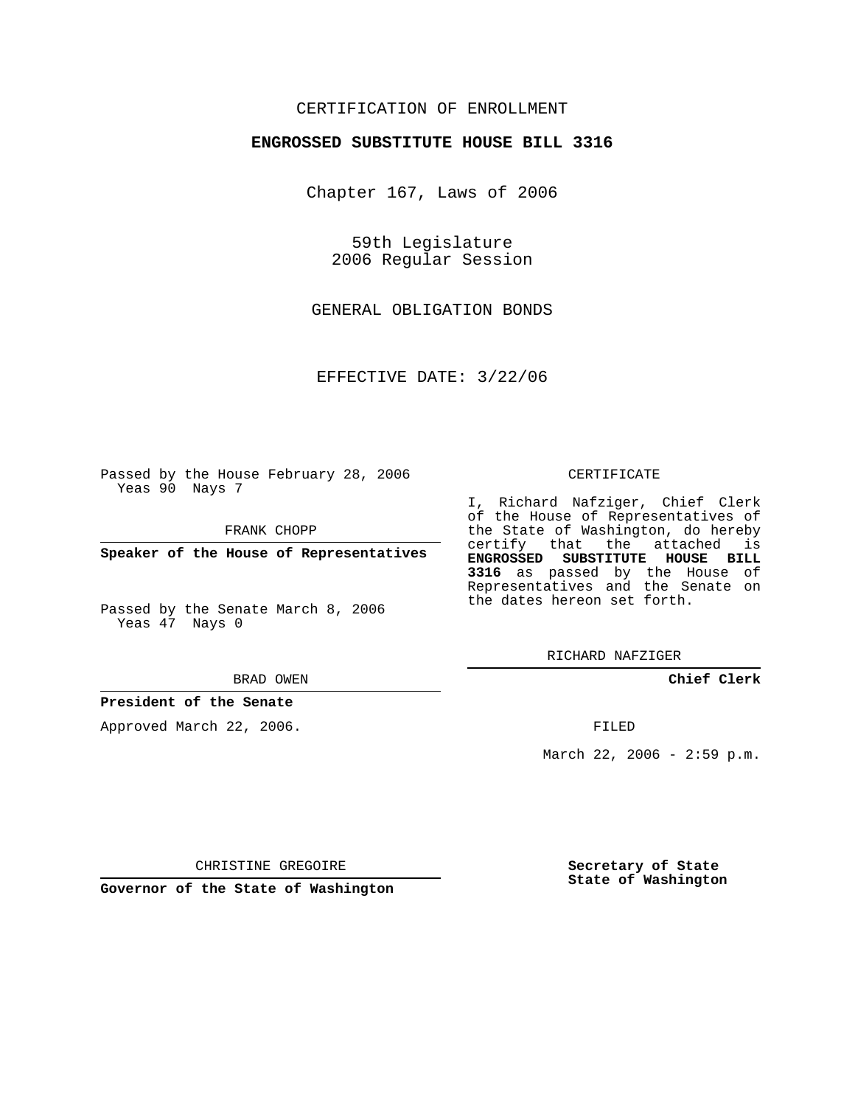# CERTIFICATION OF ENROLLMENT

#### **ENGROSSED SUBSTITUTE HOUSE BILL 3316**

Chapter 167, Laws of 2006

59th Legislature 2006 Regular Session

GENERAL OBLIGATION BONDS

EFFECTIVE DATE: 3/22/06

Passed by the House February 28, 2006 Yeas 90 Nays 7

FRANK CHOPP

**Speaker of the House of Representatives**

Passed by the Senate March 8, 2006 Yeas 47 Nays 0

#### BRAD OWEN

#### **President of the Senate**

Approved March 22, 2006.

#### CERTIFICATE

I, Richard Nafziger, Chief Clerk of the House of Representatives of the State of Washington, do hereby certify that the attached is **ENGROSSED SUBSTITUTE HOUSE BILL 3316** as passed by the House of Representatives and the Senate on the dates hereon set forth.

RICHARD NAFZIGER

**Chief Clerk**

FILED

March 22, 2006 - 2:59 p.m.

CHRISTINE GREGOIRE

**Governor of the State of Washington**

**Secretary of State State of Washington**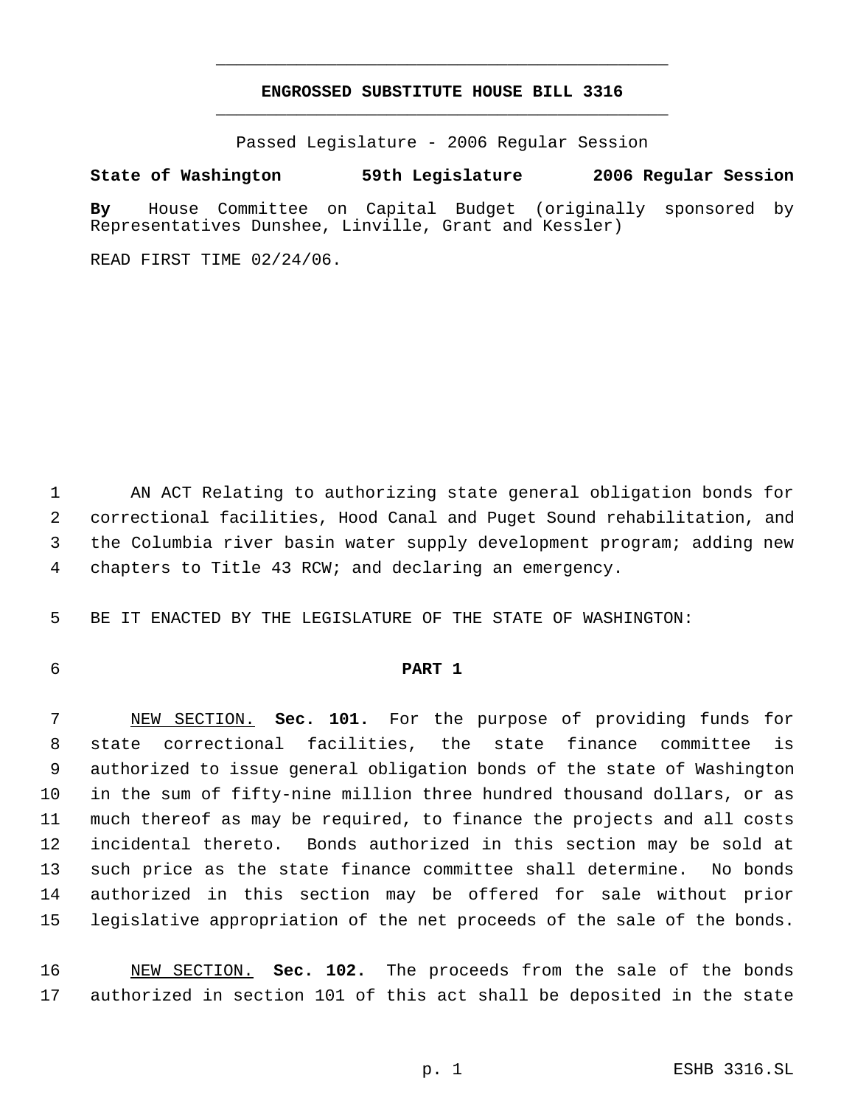# **ENGROSSED SUBSTITUTE HOUSE BILL 3316** \_\_\_\_\_\_\_\_\_\_\_\_\_\_\_\_\_\_\_\_\_\_\_\_\_\_\_\_\_\_\_\_\_\_\_\_\_\_\_\_\_\_\_\_\_

\_\_\_\_\_\_\_\_\_\_\_\_\_\_\_\_\_\_\_\_\_\_\_\_\_\_\_\_\_\_\_\_\_\_\_\_\_\_\_\_\_\_\_\_\_

Passed Legislature - 2006 Regular Session

### **State of Washington 59th Legislature 2006 Regular Session**

**By** House Committee on Capital Budget (originally sponsored by Representatives Dunshee, Linville, Grant and Kessler)

READ FIRST TIME 02/24/06.

 AN ACT Relating to authorizing state general obligation bonds for correctional facilities, Hood Canal and Puget Sound rehabilitation, and the Columbia river basin water supply development program; adding new chapters to Title 43 RCW; and declaring an emergency.

BE IT ENACTED BY THE LEGISLATURE OF THE STATE OF WASHINGTON:

# **PART 1**

 NEW SECTION. **Sec. 101.** For the purpose of providing funds for state correctional facilities, the state finance committee is authorized to issue general obligation bonds of the state of Washington in the sum of fifty-nine million three hundred thousand dollars, or as much thereof as may be required, to finance the projects and all costs incidental thereto. Bonds authorized in this section may be sold at such price as the state finance committee shall determine. No bonds authorized in this section may be offered for sale without prior legislative appropriation of the net proceeds of the sale of the bonds.

 NEW SECTION. **Sec. 102.** The proceeds from the sale of the bonds authorized in section 101 of this act shall be deposited in the state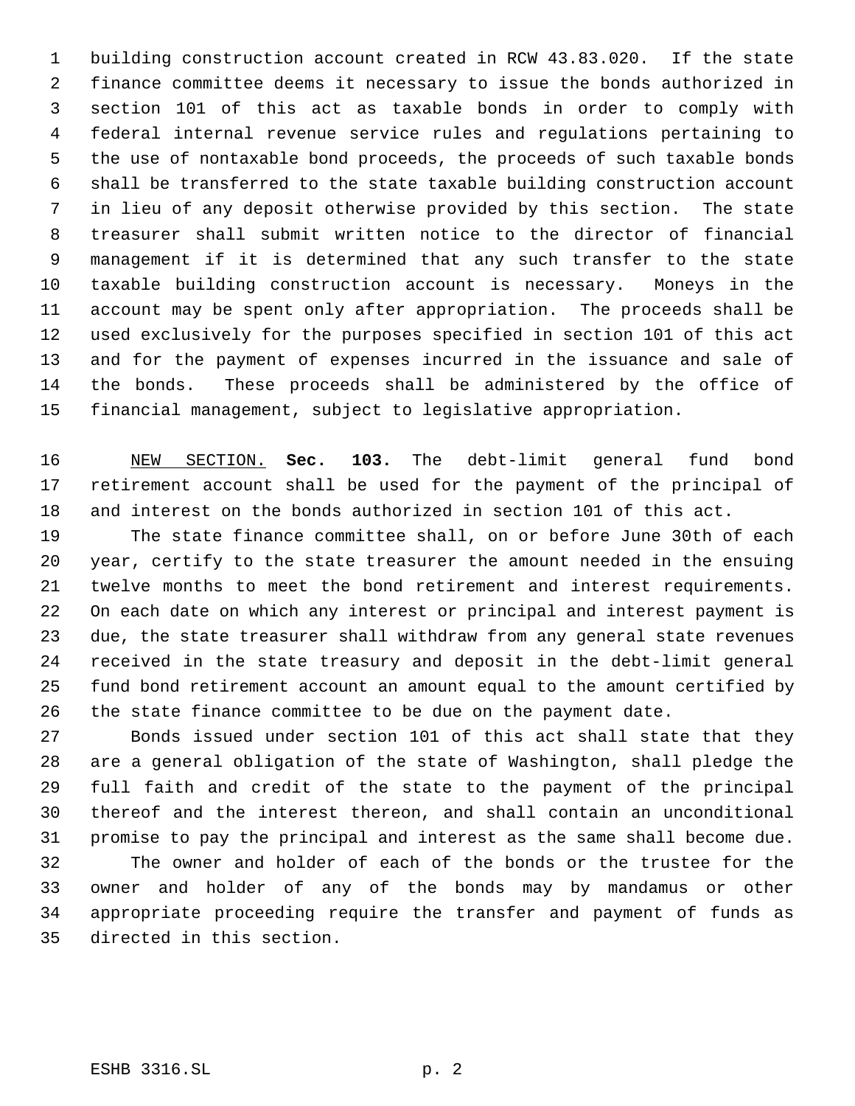building construction account created in RCW 43.83.020. If the state finance committee deems it necessary to issue the bonds authorized in section 101 of this act as taxable bonds in order to comply with federal internal revenue service rules and regulations pertaining to the use of nontaxable bond proceeds, the proceeds of such taxable bonds shall be transferred to the state taxable building construction account in lieu of any deposit otherwise provided by this section. The state treasurer shall submit written notice to the director of financial management if it is determined that any such transfer to the state taxable building construction account is necessary. Moneys in the account may be spent only after appropriation. The proceeds shall be used exclusively for the purposes specified in section 101 of this act and for the payment of expenses incurred in the issuance and sale of the bonds. These proceeds shall be administered by the office of financial management, subject to legislative appropriation.

 NEW SECTION. **Sec. 103.** The debt-limit general fund bond retirement account shall be used for the payment of the principal of and interest on the bonds authorized in section 101 of this act.

 The state finance committee shall, on or before June 30th of each year, certify to the state treasurer the amount needed in the ensuing twelve months to meet the bond retirement and interest requirements. On each date on which any interest or principal and interest payment is due, the state treasurer shall withdraw from any general state revenues received in the state treasury and deposit in the debt-limit general fund bond retirement account an amount equal to the amount certified by the state finance committee to be due on the payment date.

 Bonds issued under section 101 of this act shall state that they are a general obligation of the state of Washington, shall pledge the full faith and credit of the state to the payment of the principal thereof and the interest thereon, and shall contain an unconditional promise to pay the principal and interest as the same shall become due. The owner and holder of each of the bonds or the trustee for the owner and holder of any of the bonds may by mandamus or other appropriate proceeding require the transfer and payment of funds as directed in this section.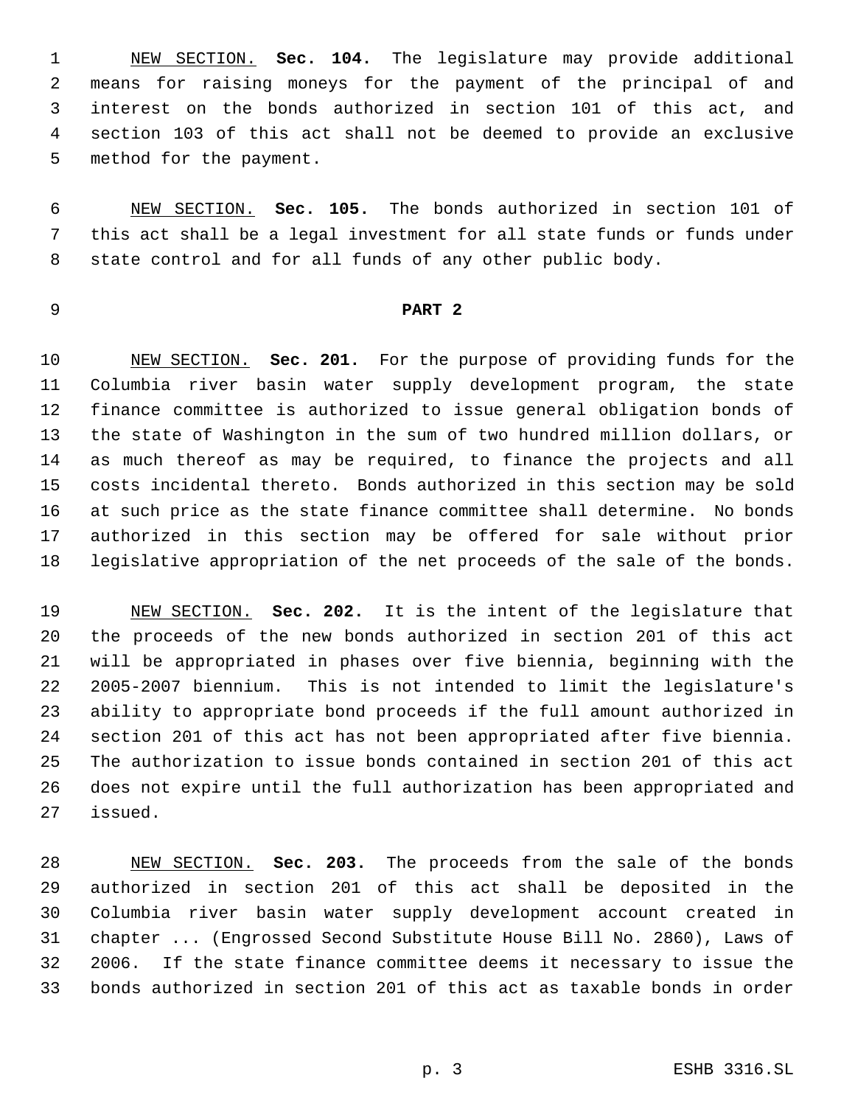NEW SECTION. **Sec. 104.** The legislature may provide additional means for raising moneys for the payment of the principal of and interest on the bonds authorized in section 101 of this act, and section 103 of this act shall not be deemed to provide an exclusive method for the payment.

 NEW SECTION. **Sec. 105.** The bonds authorized in section 101 of this act shall be a legal investment for all state funds or funds under state control and for all funds of any other public body.

## **PART 2**

 NEW SECTION. **Sec. 201.** For the purpose of providing funds for the Columbia river basin water supply development program, the state finance committee is authorized to issue general obligation bonds of the state of Washington in the sum of two hundred million dollars, or as much thereof as may be required, to finance the projects and all costs incidental thereto. Bonds authorized in this section may be sold at such price as the state finance committee shall determine. No bonds authorized in this section may be offered for sale without prior legislative appropriation of the net proceeds of the sale of the bonds.

 NEW SECTION. **Sec. 202.** It is the intent of the legislature that the proceeds of the new bonds authorized in section 201 of this act will be appropriated in phases over five biennia, beginning with the 2005-2007 biennium. This is not intended to limit the legislature's ability to appropriate bond proceeds if the full amount authorized in section 201 of this act has not been appropriated after five biennia. The authorization to issue bonds contained in section 201 of this act does not expire until the full authorization has been appropriated and issued.

 NEW SECTION. **Sec. 203.** The proceeds from the sale of the bonds authorized in section 201 of this act shall be deposited in the Columbia river basin water supply development account created in chapter ... (Engrossed Second Substitute House Bill No. 2860), Laws of 2006. If the state finance committee deems it necessary to issue the bonds authorized in section 201 of this act as taxable bonds in order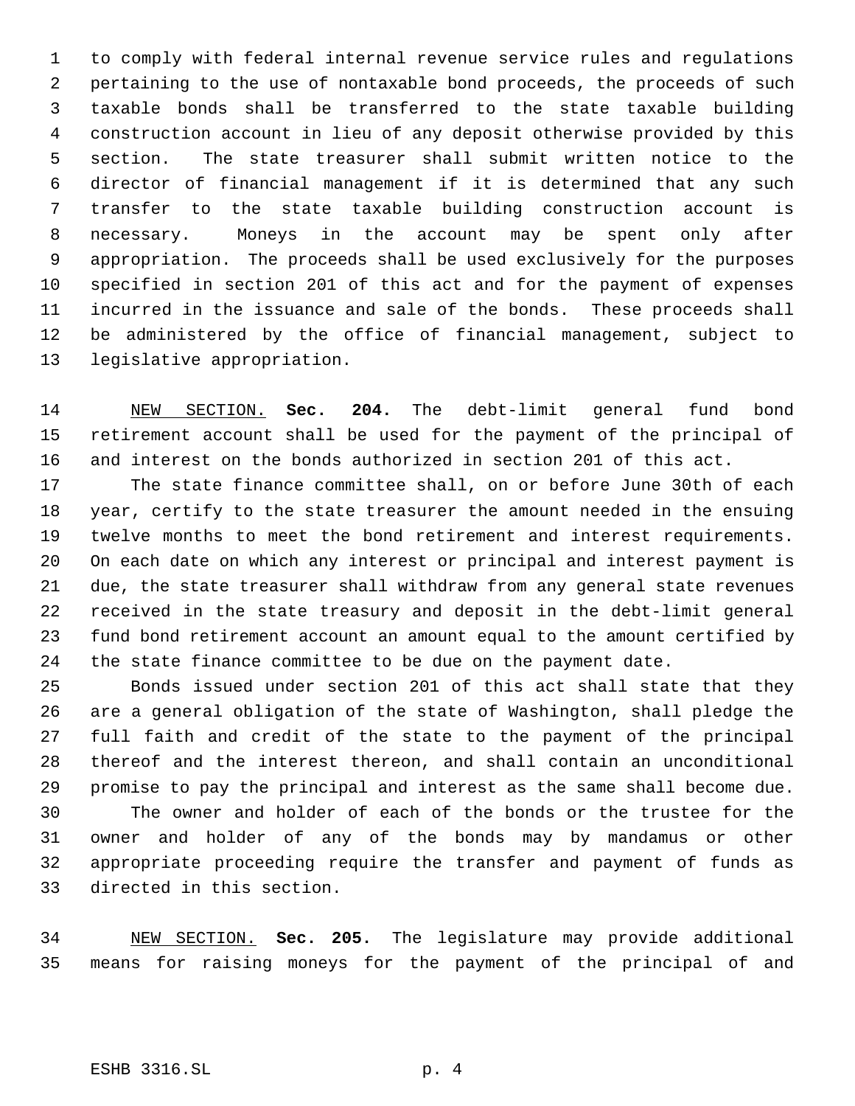to comply with federal internal revenue service rules and regulations pertaining to the use of nontaxable bond proceeds, the proceeds of such taxable bonds shall be transferred to the state taxable building construction account in lieu of any deposit otherwise provided by this section. The state treasurer shall submit written notice to the director of financial management if it is determined that any such transfer to the state taxable building construction account is necessary. Moneys in the account may be spent only after appropriation. The proceeds shall be used exclusively for the purposes specified in section 201 of this act and for the payment of expenses incurred in the issuance and sale of the bonds. These proceeds shall be administered by the office of financial management, subject to legislative appropriation.

 NEW SECTION. **Sec. 204.** The debt-limit general fund bond retirement account shall be used for the payment of the principal of and interest on the bonds authorized in section 201 of this act.

 The state finance committee shall, on or before June 30th of each year, certify to the state treasurer the amount needed in the ensuing twelve months to meet the bond retirement and interest requirements. On each date on which any interest or principal and interest payment is due, the state treasurer shall withdraw from any general state revenues received in the state treasury and deposit in the debt-limit general fund bond retirement account an amount equal to the amount certified by the state finance committee to be due on the payment date.

 Bonds issued under section 201 of this act shall state that they are a general obligation of the state of Washington, shall pledge the full faith and credit of the state to the payment of the principal thereof and the interest thereon, and shall contain an unconditional promise to pay the principal and interest as the same shall become due. The owner and holder of each of the bonds or the trustee for the owner and holder of any of the bonds may by mandamus or other appropriate proceeding require the transfer and payment of funds as directed in this section.

 NEW SECTION. **Sec. 205.** The legislature may provide additional means for raising moneys for the payment of the principal of and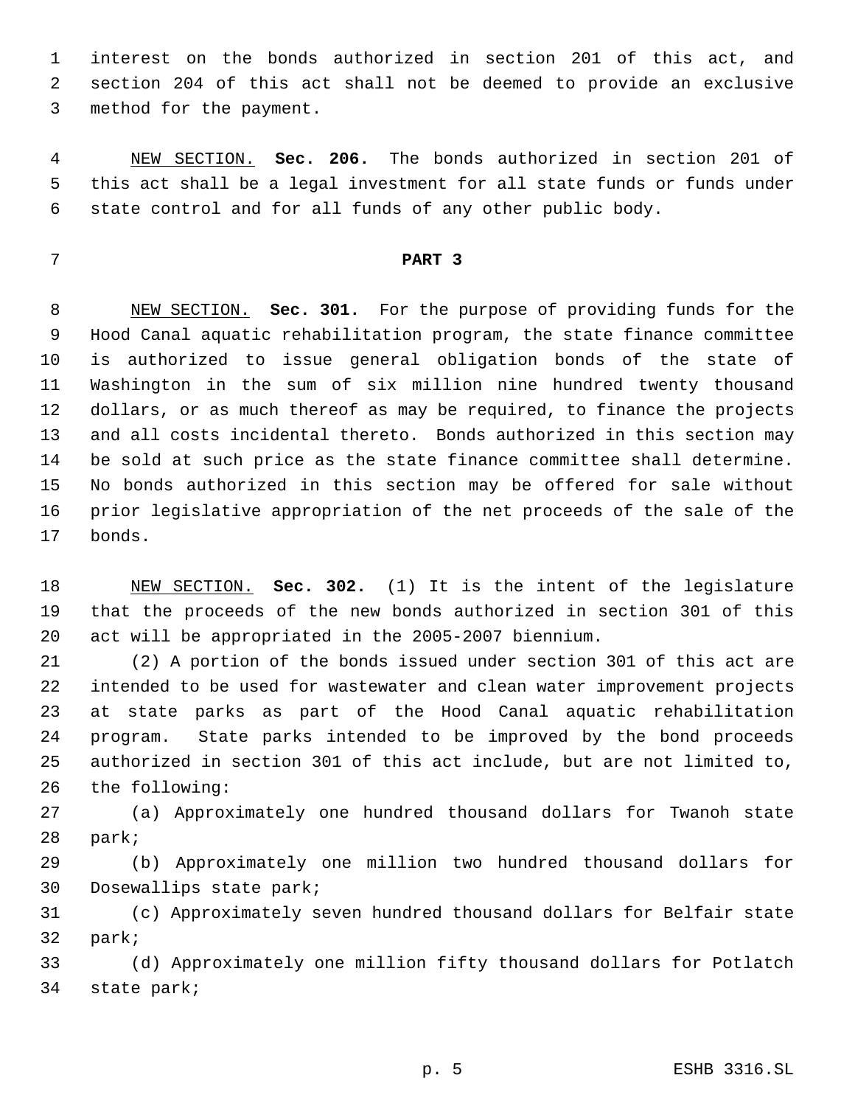interest on the bonds authorized in section 201 of this act, and section 204 of this act shall not be deemed to provide an exclusive method for the payment.

 NEW SECTION. **Sec. 206.** The bonds authorized in section 201 of this act shall be a legal investment for all state funds or funds under state control and for all funds of any other public body.

### **PART 3**

 NEW SECTION. **Sec. 301.** For the purpose of providing funds for the Hood Canal aquatic rehabilitation program, the state finance committee is authorized to issue general obligation bonds of the state of Washington in the sum of six million nine hundred twenty thousand dollars, or as much thereof as may be required, to finance the projects and all costs incidental thereto. Bonds authorized in this section may be sold at such price as the state finance committee shall determine. No bonds authorized in this section may be offered for sale without prior legislative appropriation of the net proceeds of the sale of the bonds.

 NEW SECTION. **Sec. 302.** (1) It is the intent of the legislature that the proceeds of the new bonds authorized in section 301 of this act will be appropriated in the 2005-2007 biennium.

 (2) A portion of the bonds issued under section 301 of this act are intended to be used for wastewater and clean water improvement projects at state parks as part of the Hood Canal aquatic rehabilitation program. State parks intended to be improved by the bond proceeds authorized in section 301 of this act include, but are not limited to, the following:

 (a) Approximately one hundred thousand dollars for Twanoh state park;

 (b) Approximately one million two hundred thousand dollars for Dosewallips state park;

 (c) Approximately seven hundred thousand dollars for Belfair state park;

 (d) Approximately one million fifty thousand dollars for Potlatch state park;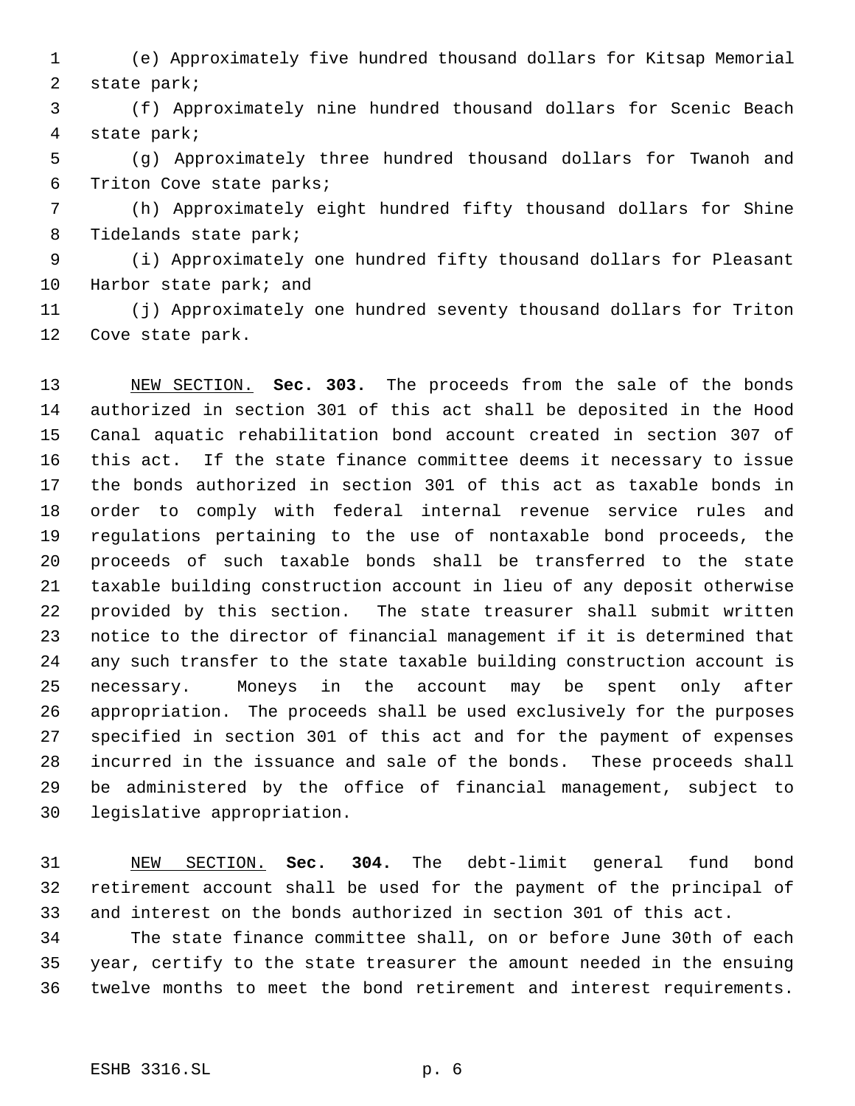(e) Approximately five hundred thousand dollars for Kitsap Memorial state park;

 (f) Approximately nine hundred thousand dollars for Scenic Beach state park;

 (g) Approximately three hundred thousand dollars for Twanoh and Triton Cove state parks;

 (h) Approximately eight hundred fifty thousand dollars for Shine Tidelands state park;

 (i) Approximately one hundred fifty thousand dollars for Pleasant 10 Harbor state park; and

 (j) Approximately one hundred seventy thousand dollars for Triton Cove state park.

 NEW SECTION. **Sec. 303.** The proceeds from the sale of the bonds authorized in section 301 of this act shall be deposited in the Hood Canal aquatic rehabilitation bond account created in section 307 of this act. If the state finance committee deems it necessary to issue the bonds authorized in section 301 of this act as taxable bonds in order to comply with federal internal revenue service rules and regulations pertaining to the use of nontaxable bond proceeds, the proceeds of such taxable bonds shall be transferred to the state taxable building construction account in lieu of any deposit otherwise provided by this section. The state treasurer shall submit written notice to the director of financial management if it is determined that any such transfer to the state taxable building construction account is necessary. Moneys in the account may be spent only after appropriation. The proceeds shall be used exclusively for the purposes specified in section 301 of this act and for the payment of expenses incurred in the issuance and sale of the bonds. These proceeds shall be administered by the office of financial management, subject to legislative appropriation.

 NEW SECTION. **Sec. 304.** The debt-limit general fund bond retirement account shall be used for the payment of the principal of and interest on the bonds authorized in section 301 of this act.

 The state finance committee shall, on or before June 30th of each year, certify to the state treasurer the amount needed in the ensuing twelve months to meet the bond retirement and interest requirements.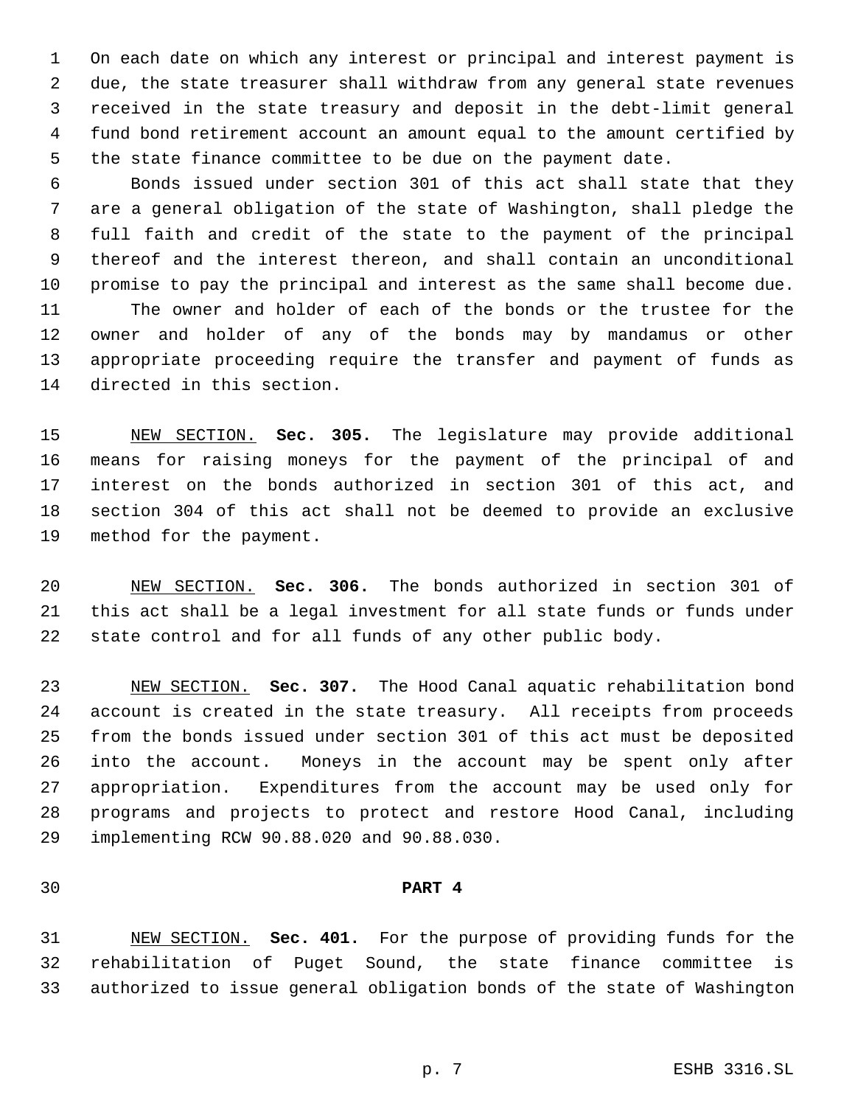On each date on which any interest or principal and interest payment is due, the state treasurer shall withdraw from any general state revenues received in the state treasury and deposit in the debt-limit general fund bond retirement account an amount equal to the amount certified by the state finance committee to be due on the payment date.

 Bonds issued under section 301 of this act shall state that they are a general obligation of the state of Washington, shall pledge the full faith and credit of the state to the payment of the principal thereof and the interest thereon, and shall contain an unconditional promise to pay the principal and interest as the same shall become due. The owner and holder of each of the bonds or the trustee for the owner and holder of any of the bonds may by mandamus or other appropriate proceeding require the transfer and payment of funds as directed in this section.

 NEW SECTION. **Sec. 305.** The legislature may provide additional means for raising moneys for the payment of the principal of and interest on the bonds authorized in section 301 of this act, and section 304 of this act shall not be deemed to provide an exclusive method for the payment.

 NEW SECTION. **Sec. 306.** The bonds authorized in section 301 of this act shall be a legal investment for all state funds or funds under state control and for all funds of any other public body.

 NEW SECTION. **Sec. 307.** The Hood Canal aquatic rehabilitation bond account is created in the state treasury. All receipts from proceeds from the bonds issued under section 301 of this act must be deposited into the account. Moneys in the account may be spent only after appropriation. Expenditures from the account may be used only for programs and projects to protect and restore Hood Canal, including implementing RCW 90.88.020 and 90.88.030.

#### **PART 4**

 NEW SECTION. **Sec. 401.** For the purpose of providing funds for the rehabilitation of Puget Sound, the state finance committee is authorized to issue general obligation bonds of the state of Washington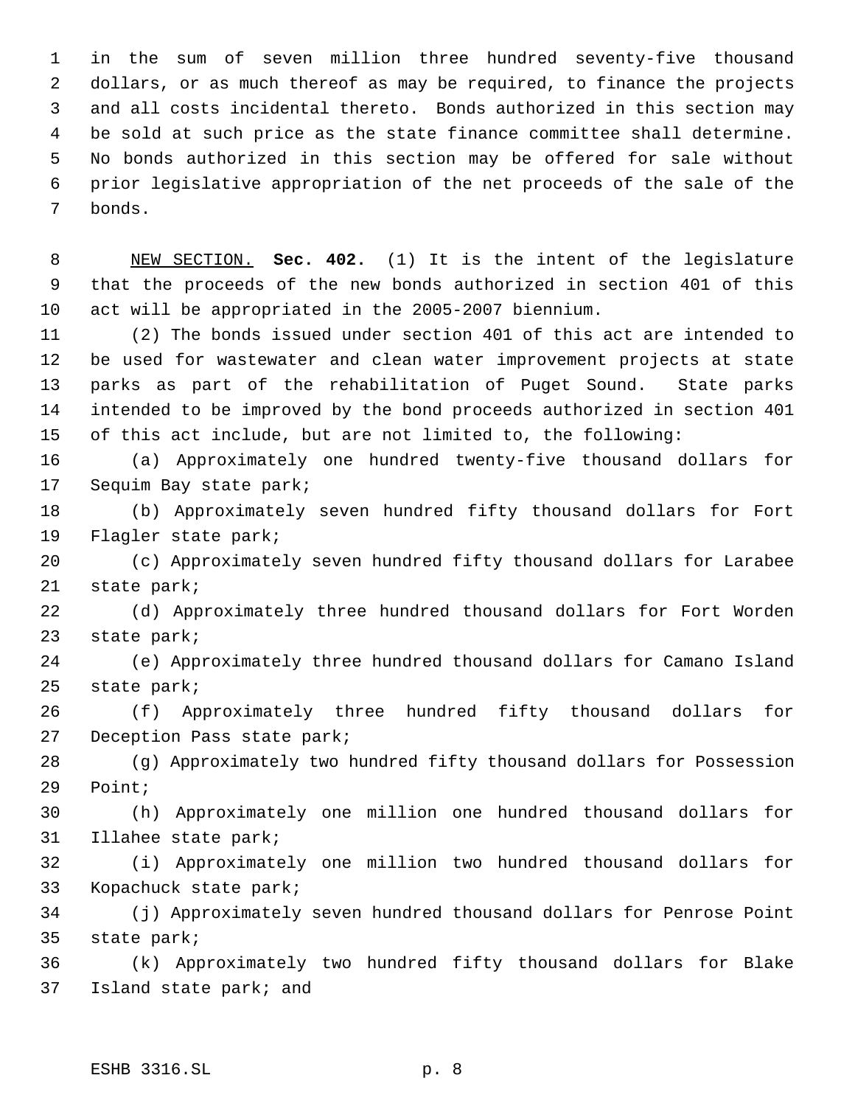in the sum of seven million three hundred seventy-five thousand dollars, or as much thereof as may be required, to finance the projects and all costs incidental thereto. Bonds authorized in this section may be sold at such price as the state finance committee shall determine. No bonds authorized in this section may be offered for sale without prior legislative appropriation of the net proceeds of the sale of the bonds.

 NEW SECTION. **Sec. 402.** (1) It is the intent of the legislature that the proceeds of the new bonds authorized in section 401 of this act will be appropriated in the 2005-2007 biennium.

 (2) The bonds issued under section 401 of this act are intended to be used for wastewater and clean water improvement projects at state parks as part of the rehabilitation of Puget Sound. State parks intended to be improved by the bond proceeds authorized in section 401 of this act include, but are not limited to, the following:

 (a) Approximately one hundred twenty-five thousand dollars for Sequim Bay state park;

 (b) Approximately seven hundred fifty thousand dollars for Fort Flagler state park;

 (c) Approximately seven hundred fifty thousand dollars for Larabee state park;

 (d) Approximately three hundred thousand dollars for Fort Worden state park;

 (e) Approximately three hundred thousand dollars for Camano Island state park;

 (f) Approximately three hundred fifty thousand dollars for Deception Pass state park;

 (g) Approximately two hundred fifty thousand dollars for Possession Point;

 (h) Approximately one million one hundred thousand dollars for Illahee state park;

 (i) Approximately one million two hundred thousand dollars for Kopachuck state park;

 (j) Approximately seven hundred thousand dollars for Penrose Point state park;

 (k) Approximately two hundred fifty thousand dollars for Blake Island state park; and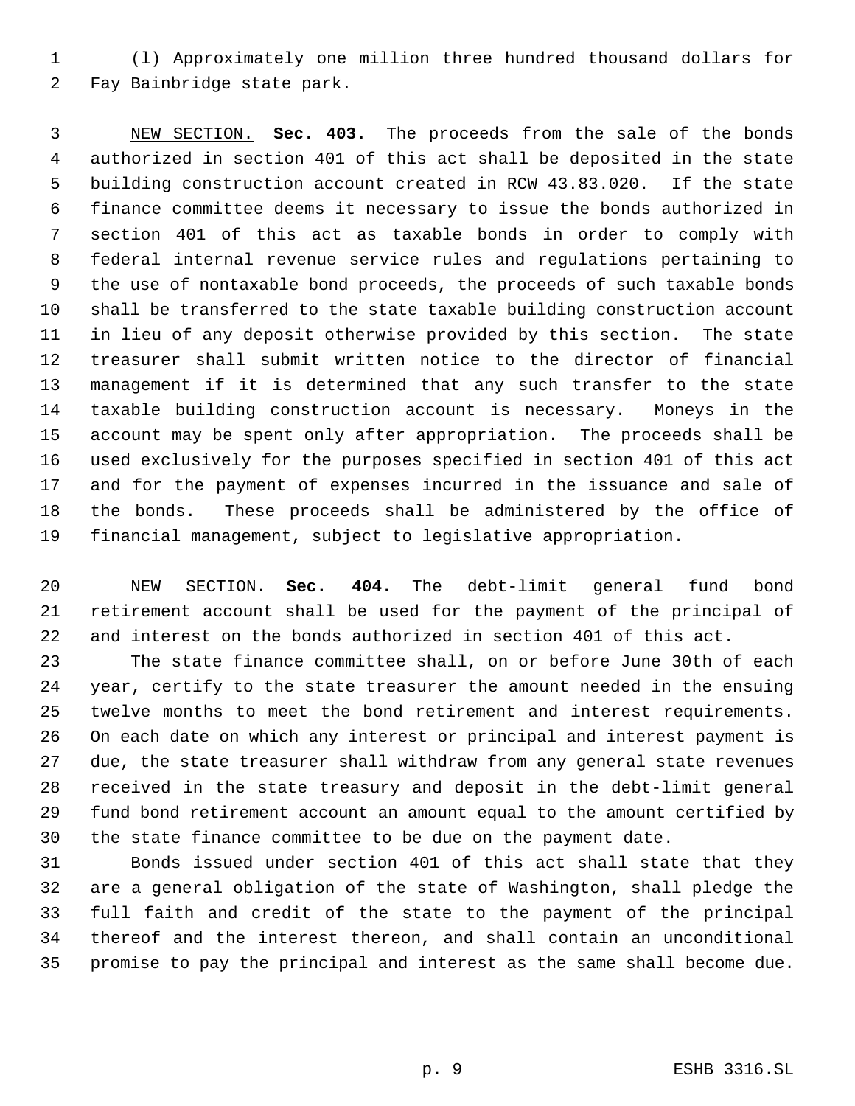(l) Approximately one million three hundred thousand dollars for Fay Bainbridge state park.

 NEW SECTION. **Sec. 403.** The proceeds from the sale of the bonds authorized in section 401 of this act shall be deposited in the state building construction account created in RCW 43.83.020. If the state finance committee deems it necessary to issue the bonds authorized in section 401 of this act as taxable bonds in order to comply with federal internal revenue service rules and regulations pertaining to the use of nontaxable bond proceeds, the proceeds of such taxable bonds shall be transferred to the state taxable building construction account in lieu of any deposit otherwise provided by this section. The state treasurer shall submit written notice to the director of financial management if it is determined that any such transfer to the state taxable building construction account is necessary. Moneys in the account may be spent only after appropriation. The proceeds shall be used exclusively for the purposes specified in section 401 of this act and for the payment of expenses incurred in the issuance and sale of the bonds. These proceeds shall be administered by the office of financial management, subject to legislative appropriation.

 NEW SECTION. **Sec. 404.** The debt-limit general fund bond retirement account shall be used for the payment of the principal of and interest on the bonds authorized in section 401 of this act.

 The state finance committee shall, on or before June 30th of each year, certify to the state treasurer the amount needed in the ensuing twelve months to meet the bond retirement and interest requirements. On each date on which any interest or principal and interest payment is due, the state treasurer shall withdraw from any general state revenues received in the state treasury and deposit in the debt-limit general fund bond retirement account an amount equal to the amount certified by the state finance committee to be due on the payment date.

 Bonds issued under section 401 of this act shall state that they are a general obligation of the state of Washington, shall pledge the full faith and credit of the state to the payment of the principal thereof and the interest thereon, and shall contain an unconditional promise to pay the principal and interest as the same shall become due.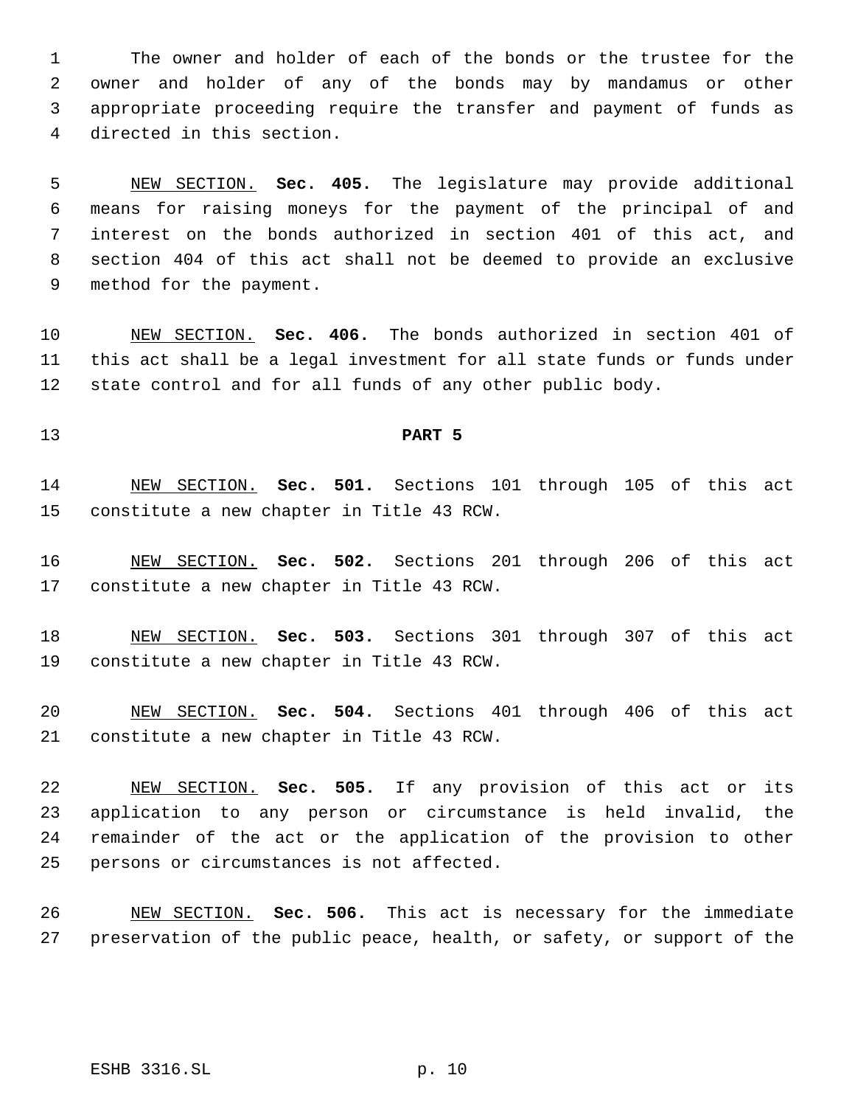The owner and holder of each of the bonds or the trustee for the owner and holder of any of the bonds may by mandamus or other appropriate proceeding require the transfer and payment of funds as directed in this section.

 NEW SECTION. **Sec. 405.** The legislature may provide additional means for raising moneys for the payment of the principal of and interest on the bonds authorized in section 401 of this act, and section 404 of this act shall not be deemed to provide an exclusive method for the payment.

 NEW SECTION. **Sec. 406.** The bonds authorized in section 401 of this act shall be a legal investment for all state funds or funds under state control and for all funds of any other public body.

## **PART 5**

 NEW SECTION. **Sec. 501.** Sections 101 through 105 of this act constitute a new chapter in Title 43 RCW.

 NEW SECTION. **Sec. 502.** Sections 201 through 206 of this act constitute a new chapter in Title 43 RCW.

 NEW SECTION. **Sec. 503.** Sections 301 through 307 of this act constitute a new chapter in Title 43 RCW.

 NEW SECTION. **Sec. 504.** Sections 401 through 406 of this act constitute a new chapter in Title 43 RCW.

 NEW SECTION. **Sec. 505.** If any provision of this act or its application to any person or circumstance is held invalid, the remainder of the act or the application of the provision to other persons or circumstances is not affected.

 NEW SECTION. **Sec. 506.** This act is necessary for the immediate preservation of the public peace, health, or safety, or support of the